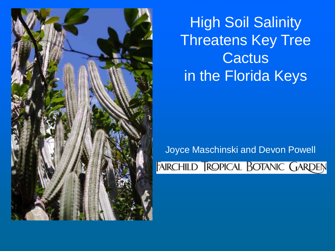

High Soil Salinity Threatens Key Tree **Cactus** in the Florida Keys

Joyce Maschinski and Devon Powell

FAIRCHILD TROPICAL BOTANIC GARDEN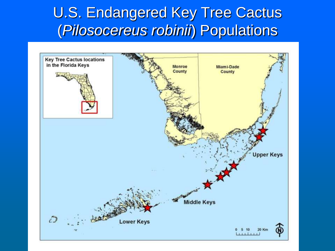## U.S. Endangered Key Tree Cactus (*Pilosocereus robinii*) Populations

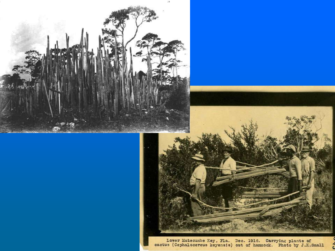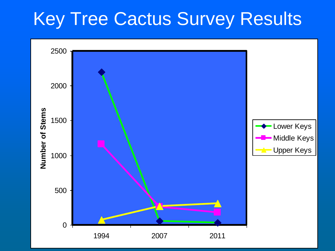## Key Tree Cactus Survey Results

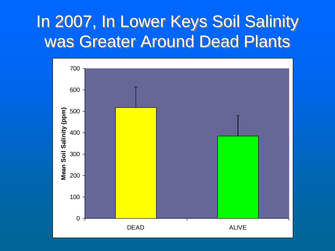## In 2007, In Lower Keys Soil Salinity was Greater Around Dead Plants

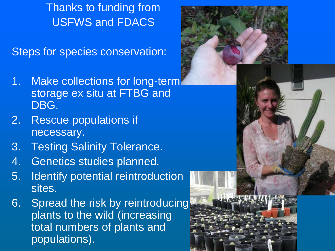Thanks to funding from USFWS and FDACS

Steps for species conservation:

- 1. Make collections for long-term storage ex situ at FTBG and DBG.
- 2. Rescue populations if necessary.
- 3. Testing Salinity Tolerance.
- 4. Genetics studies planned.
- 5. Identify potential reintroduction sites.
- 6. Spread the risk by reintroducing plants to the wild (increasing total numbers of plants and populations).

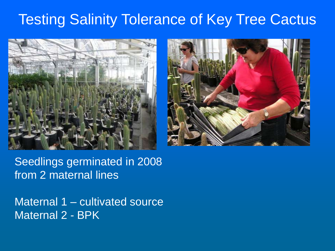### Testing Salinity Tolerance of Key Tree Cactus





#### Seedlings germinated in 2008 from 2 maternal lines

Maternal 1 – cultivated source Maternal 2 - BPK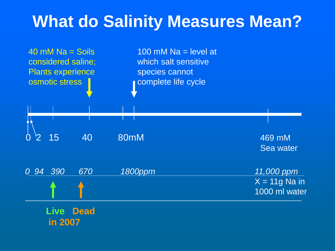## **What do Salinity Measures Mean?**

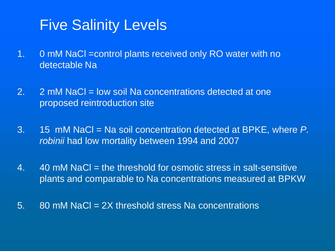## Five Salinity Levels

- 1. 0 mM NaCl = control plants received only RO water with no detectable Na
- 2. 2 mM NaCl = low soil Na concentrations detected at one proposed reintroduction site
- 3. 15 mM NaCl = Na soil concentration detected at BPKE, where *P. robinii* had low mortality between 1994 and 2007
- 4. 40 mM NaCl = the threshold for osmotic stress in salt-sensitive plants and comparable to Na concentrations measured at BPKW
- 5. 80 mM NaCl = 2X threshold stress Na concentrations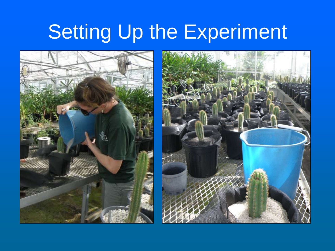# Setting Up the Experiment



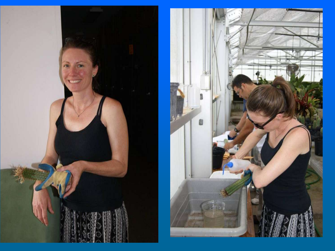

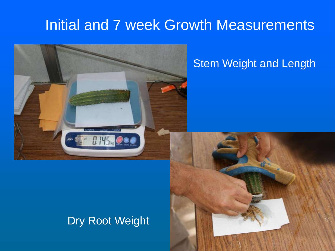### Initial and 7 week Growth Measurements



#### Stem Weight and Length

#### Dry Root Weight

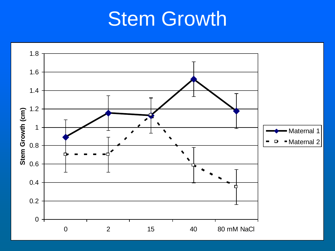# Stem Growth

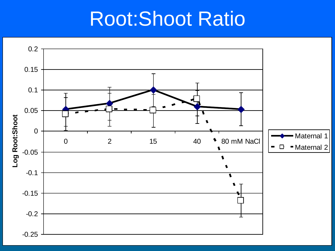## Root:Shoot Ratio

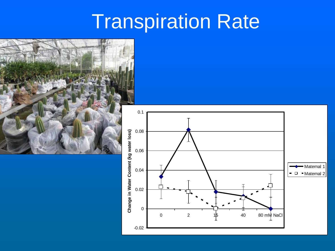# **Transpiration Rate**



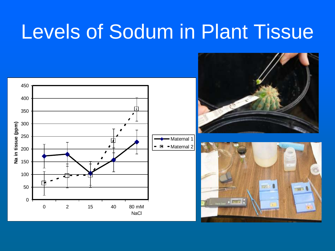# Levels of Sodum in Plant Tissue





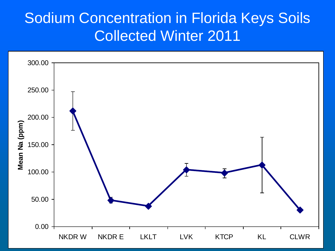### Sodium Concentration in Florida Keys Soils Collected Winter 2011

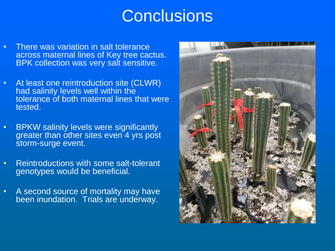## **Conclusions**

- There was variation in salt tolerance across maternal lines of Key tree cactus. BPK collection was very salt sensitive.
- At least one reintroduction site (CLWR) had salinity levels well within the tolerance of both maternal lines that were tested.
- BPKW salinity levels were significantly greater than other sites even 4 yrs post storm-surge event.
- Reintroductions with some salt-tolerant genotypes would be beneficial.
- A second source of mortality may have been inundation. Trials are underway.